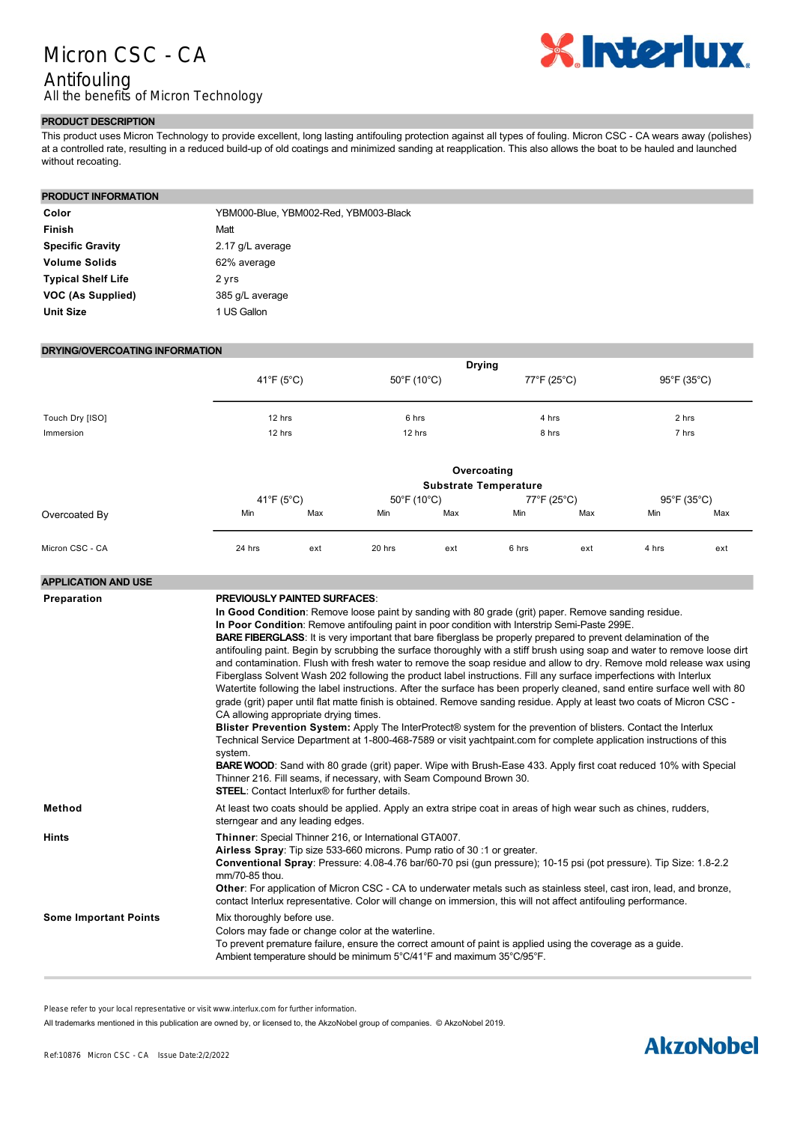## Micron CSC - CA Antifouling All the benefits of Micron Technology



## **PRODUCT DESCRIPTION**

This product uses Micron Technology to provide excellent, long lasting antifouling protection against all types of fouling. Micron CSC CA wears away (polishes) at a controlled rate, resulting in a reduced build-up of old coatings and minimized sanding at reapplication. This also allows the boat to be hauled and launched without recoating.

#### **PRODUCT INFORMATION**

| Color                     | YBM000-Blue. YBM002-Red. YBM003-Black |
|---------------------------|---------------------------------------|
| Finish                    | Matt                                  |
| <b>Specific Gravity</b>   | 2.17 g/L average                      |
| <b>Volume Solids</b>      | 62% average                           |
| <b>Typical Shelf Life</b> | 2 yrs                                 |
| VOC (As Supplied)         | 385 g/L average                       |
| <b>Unit Size</b>          | 1 US Gallon                           |

### **DRYING/OVERCOATING INFORMATION**

|                 |                           | <b>Drying</b>                |                                  |             |             |       |             |       |  |  |
|-----------------|---------------------------|------------------------------|----------------------------------|-------------|-------------|-------|-------------|-------|--|--|
|                 | $41^{\circ}F(5^{\circ}C)$ |                              | $50^{\circ}$ F (10 $^{\circ}$ C) |             | 77°F (25°C) |       | 95°F (35°C) |       |  |  |
| Touch Dry [ISO] |                           | 12 hrs                       |                                  | 6 hrs       |             | 4 hrs |             | 2 hrs |  |  |
| Immersion       | 12 hrs                    |                              | 12 hrs                           |             | 8 hrs       |       | 7 hrs       |       |  |  |
|                 |                           |                              |                                  | Overcoating |             |       |             |       |  |  |
|                 |                           | <b>Substrate Temperature</b> |                                  |             |             |       |             |       |  |  |
|                 | 41°F (5°C)                |                              | $50^{\circ}$ F (10 $^{\circ}$ C) |             | 77°F (25°C) |       | 95°F (35°C) |       |  |  |
| Overcoated By   | Min                       | Max                          | Min                              | Max         | Min         | Max   | Min         | Max   |  |  |
| Micron CSC - CA | 24 hrs                    | ext                          | 20 hrs                           | ext         | 6 hrs       | ext   | 4 hrs       | ext   |  |  |

#### **APPLICATION AND USE**

| Preparation                  | <b>PREVIOUSLY PAINTED SURFACES:</b>                                                                                                                                                                                                                                                                                                                                                                                                                                                                                                                                                                                                                                                                                                                                                                                                                                                                                                                                                                                                                                                                                                                                                                                                                               |
|------------------------------|-------------------------------------------------------------------------------------------------------------------------------------------------------------------------------------------------------------------------------------------------------------------------------------------------------------------------------------------------------------------------------------------------------------------------------------------------------------------------------------------------------------------------------------------------------------------------------------------------------------------------------------------------------------------------------------------------------------------------------------------------------------------------------------------------------------------------------------------------------------------------------------------------------------------------------------------------------------------------------------------------------------------------------------------------------------------------------------------------------------------------------------------------------------------------------------------------------------------------------------------------------------------|
|                              | In Good Condition: Remove loose paint by sanding with 80 grade (grit) paper. Remove sanding residue.<br>In Poor Condition: Remove antifouling paint in poor condition with Interstrip Semi-Paste 299E.<br><b>BARE FIBERGLASS:</b> It is very important that bare fiberglass be properly prepared to prevent delamination of the<br>antifouling paint. Begin by scrubbing the surface thoroughly with a stiff brush using soap and water to remove loose dirt<br>and contamination. Flush with fresh water to remove the soap residue and allow to dry. Remove mold release wax using<br>Fiberglass Solvent Wash 202 following the product label instructions. Fill any surface imperfections with Interlux<br>Watertite following the label instructions. After the surface has been properly cleaned, sand entire surface well with 80<br>grade (grit) paper until flat matte finish is obtained. Remove sanding residue. Apply at least two coats of Micron CSC -<br>CA allowing appropriate drying times.<br>Blister Prevention System: Apply The InterProtect® system for the prevention of blisters. Contact the Interlux<br>Technical Service Department at 1-800-468-7589 or visit yachtpaint.com for complete application instructions of this<br>system. |
|                              | <b>BARE WOOD:</b> Sand with 80 grade (grit) paper. Wipe with Brush-Ease 433. Apply first coat reduced 10% with Special<br>Thinner 216. Fill seams, if necessary, with Seam Compound Brown 30.<br><b>STEEL:</b> Contact Interlux® for further details.                                                                                                                                                                                                                                                                                                                                                                                                                                                                                                                                                                                                                                                                                                                                                                                                                                                                                                                                                                                                             |
| Method                       | At least two coats should be applied. Apply an extra stripe coat in areas of high wear such as chines, rudders,<br>sterngear and any leading edges.                                                                                                                                                                                                                                                                                                                                                                                                                                                                                                                                                                                                                                                                                                                                                                                                                                                                                                                                                                                                                                                                                                               |
| <b>Hints</b>                 | Thinner: Special Thinner 216, or International GTA007.<br>Airless Spray: Tip size 533-660 microns. Pump ratio of 30 :1 or greater.<br>Conventional Spray: Pressure: 4.08-4.76 bar/60-70 psi (qun pressure); 10-15 psi (pot pressure). Tip Size: 1.8-2.2<br>mm/70-85 thou.<br>Other: For application of Micron CSC - CA to underwater metals such as stainless steel, cast iron, lead, and bronze,<br>contact Interlux representative. Color will change on immersion, this will not affect antifouling performance.                                                                                                                                                                                                                                                                                                                                                                                                                                                                                                                                                                                                                                                                                                                                               |
| <b>Some Important Points</b> | Mix thoroughly before use.<br>Colors may fade or change color at the waterline.<br>To prevent premature failure, ensure the correct amount of paint is applied using the coverage as a quide.<br>Ambient temperature should be minimum 5°C/41°F and maximum 35°C/95°F.                                                                                                                                                                                                                                                                                                                                                                                                                                                                                                                                                                                                                                                                                                                                                                                                                                                                                                                                                                                            |

Please refer to your local representative or visit www.interlux.com for further information.

All trademarks mentioned in this publication are owned by, or licensed to, the AkzoNobel group of companies. © AkzoNobel 2019.